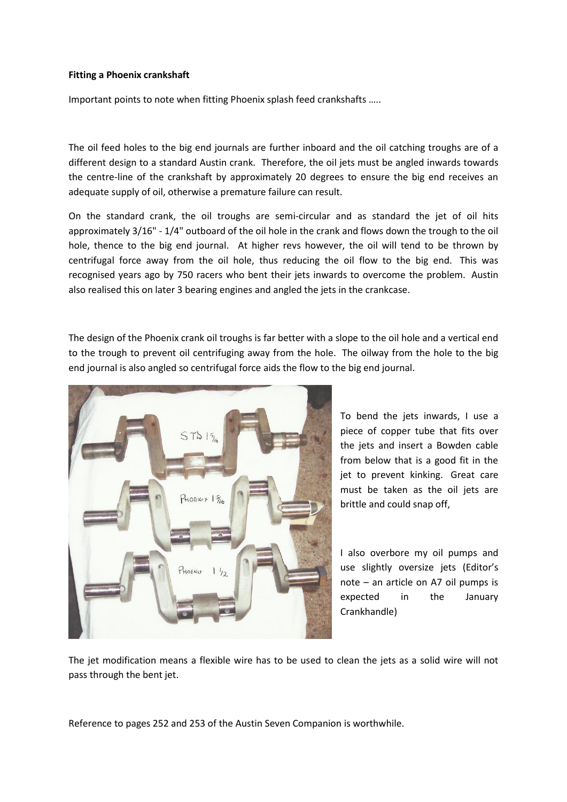## **Fitting a Phoenix crankshaft**

Important points to note when fitting Phoenix splash feed crankshafts …..

The oil feed holes to the big end journals are further inboard and the oil catching troughs are of a different design to a standard Austin crank. Therefore, the oil jets must be angled inwards towards the centre-line of the crankshaft by approximately 20 degrees to ensure the big end receives an adequate supply of oil, otherwise a premature failure can result.

On the standard crank, the oil troughs are semi-circular and as standard the jet of oil hits approximately 3/16" - 1/4" outboard of the oil hole in the crank and flows down the trough to the oil hole, thence to the big end journal. At higher revs however, the oil will tend to be thrown by centrifugal force away from the oil hole, thus reducing the oil flow to the big end. This was recognised years ago by 750 racers who bent their jets inwards to overcome the problem. Austin also realised this on later 3 bearing engines and angled the jets in the crankcase.

The design of the Phoenix crank oil troughs is far better with a slope to the oil hole and a vertical end to the trough to prevent oil centrifuging away from the hole. The oilway from the hole to the big end journal is also angled so centrifugal force aids the flow to the big end journal.



To bend the jets inwards, I use a piece of copper tube that fits over the jets and insert a Bowden cable from below that is a good fit in the jet to prevent kinking. Great care must be taken as the oil jets are brittle and could snap off,

I also overbore my oil pumps and use slightly oversize jets (Editor's note – an article on A7 oil pumps is expected in the January Crankhandle)

The jet modification means a flexible wire has to be used to clean the jets as a solid wire will not pass through the bent jet.

Reference to pages 252 and 253 of the Austin Seven Companion is worthwhile.